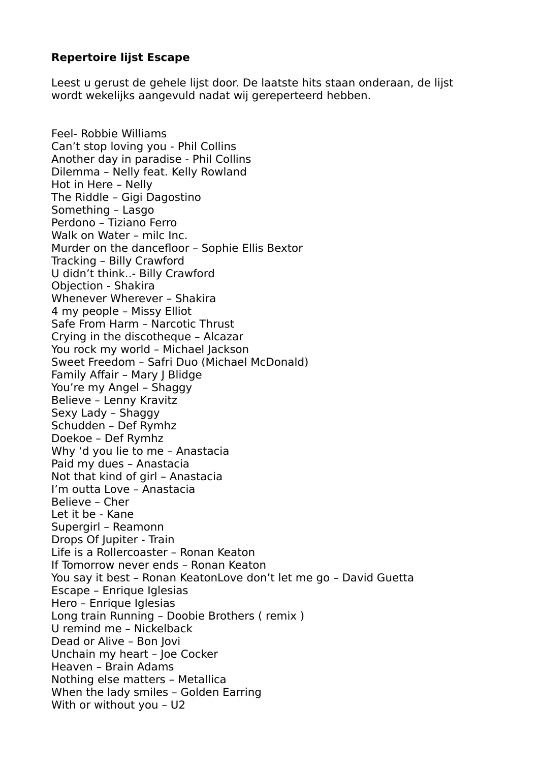## **Repertoire lijst Escape**

Leest u gerust de gehele lijst door. De laatste hits staan onderaan, de lijst wordt wekelijks aangevuld nadat wij gereperteerd hebben.

Feel- Robbie Williams Can't stop loving you - Phil Collins Another day in paradise - Phil Collins Dilemma – Nelly feat. Kelly Rowland Hot in Here – Nelly The Riddle – Gigi Dagostino Something – Lasgo Perdono – Tiziano Ferro Walk on Water – milc Inc. Murder on the dancefloor – Sophie Ellis Bextor Tracking – Billy Crawford U didn't think..- Billy Crawford Objection - Shakira Whenever Wherever – Shakira 4 my people – Missy Elliot Safe From Harm – Narcotic Thrust Crying in the discotheque – Alcazar You rock my world – Michael Jackson Sweet Freedom – Safri Duo (Michael McDonald) Family Affair - Mary I Blidge You're my Angel – Shaggy Believe – Lenny Kravitz Sexy Lady – Shaggy Schudden – Def Rymhz Doekoe – Def Rymhz Why 'd you lie to me – Anastacia Paid my dues – Anastacia Not that kind of girl – Anastacia I'm outta Love – Anastacia Believe – Cher Let it be - Kane Supergirl – Reamonn Drops Of Jupiter - Train Life is a Rollercoaster – Ronan Keaton If Tomorrow never ends – Ronan Keaton You say it best – Ronan KeatonLove don't let me go – David Guetta Escape – Enrique Iglesias Hero – Enrique Iglesias Long train Running – Doobie Brothers ( remix ) U remind me – Nickelback Dead or Alive – Bon Jovi Unchain my heart – Joe Cocker Heaven – Brain Adams Nothing else matters – Metallica When the lady smiles – Golden Earring With or without you – U2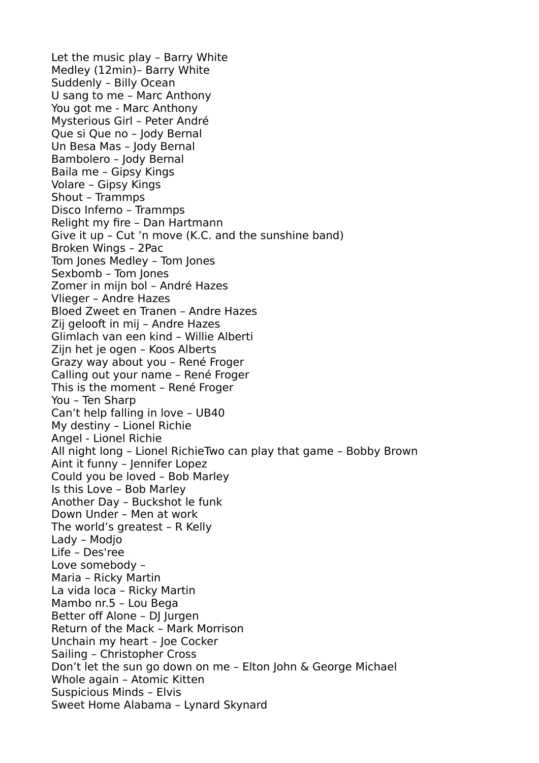Let the music play – Barry White Medley (12min)– Barry White Suddenly – Billy Ocean U sang to me – Marc Anthony You got me - Marc Anthony Mysterious Girl – Peter André Que si Que no – Jody Bernal Un Besa Mas – Jody Bernal Bambolero – Jody Bernal Baila me – Gipsy Kings Volare – Gipsy Kings Shout – Trammps Disco Inferno – Trammps Relight my fire – Dan Hartmann Give it up – Cut 'n move (K.C. and the sunshine band) Broken Wings – 2Pac Tom Jones Medley – Tom Jones Sexbomb – Tom Jones Zomer in mijn bol – André Hazes Vlieger – Andre Hazes Bloed Zweet en Tranen – Andre Hazes Zij gelooft in mij – Andre Hazes Glimlach van een kind – Willie Alberti Zijn het je ogen – Koos Alberts Grazy way about you – René Froger Calling out your name – René Froger This is the moment – René Froger You – Ten Sharp Can't help falling in love – UB40 My destiny – Lionel Richie Angel - Lionel Richie All night long – Lionel RichieTwo can play that game – Bobby Brown Aint it funny – Jennifer Lopez Could you be loved – Bob Marley Is this Love – Bob Marley Another Day – Buckshot le funk Down Under – Men at work The world's greatest – R Kelly Lady – Modjo Life – Des'ree Love somebody – Maria – Ricky Martin La vida loca – Ricky Martin Mambo nr.5 – Lou Bega Better off Alone – DJ Jurgen Return of the Mack – Mark Morrison Unchain my heart – Joe Cocker Sailing – Christopher Cross Don't let the sun go down on me – Elton John & George Michael Whole again – Atomic Kitten Suspicious Minds – Elvis Sweet Home Alabama – Lynard Skynard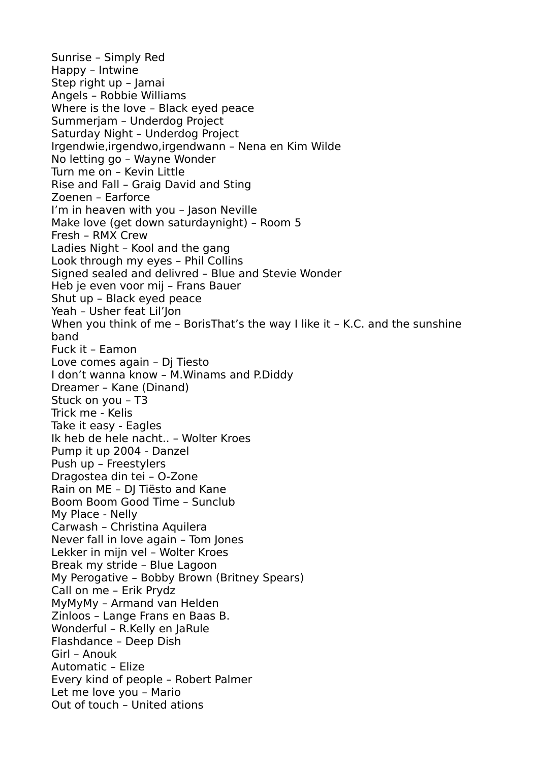Sunrise – Simply Red Happy – Intwine Step right up – Jamai Angels – Robbie Williams Where is the love – Black eyed peace Summerjam – Underdog Project Saturday Night – Underdog Project Irgendwie,irgendwo,irgendwann – Nena en Kim Wilde No letting go – Wayne Wonder Turn me on – Kevin Little Rise and Fall – Graig David and Sting Zoenen – Earforce I'm in heaven with you – Jason Neville Make love (get down saturdaynight) – Room 5 Fresh – RMX Crew Ladies Night – Kool and the gang Look through my eyes – Phil Collins Signed sealed and delivred – Blue and Stevie Wonder Heb je even voor mij – Frans Bauer Shut up – Black eyed peace Yeah – Usher feat Lil'Jon When you think of me - BorisThat's the way I like it - K.C. and the sunshine band Fuck it – Eamon Love comes again – Dj Tiesto I don't wanna know – M.Winams and P.Diddy Dreamer – Kane (Dinand) Stuck on you – T3 Trick me - Kelis Take it easy - Eagles Ik heb de hele nacht.. – Wolter Kroes Pump it up 2004 - Danzel Push up – Freestylers Dragostea din tei – O-Zone Rain on ME – DJ Tiësto and Kane Boom Boom Good Time – Sunclub My Place - Nelly Carwash – Christina Aquilera Never fall in love again – Tom Jones Lekker in mijn vel – Wolter Kroes Break my stride – Blue Lagoon My Perogative – Bobby Brown (Britney Spears) Call on me – Erik Prydz MyMyMy - Armand van Helden Zinloos – Lange Frans en Baas B. Wonderful – R.Kelly en JaRule Flashdance – Deep Dish Girl – Anouk Automatic – Elize Every kind of people – Robert Palmer Let me love you – Mario Out of touch – United ations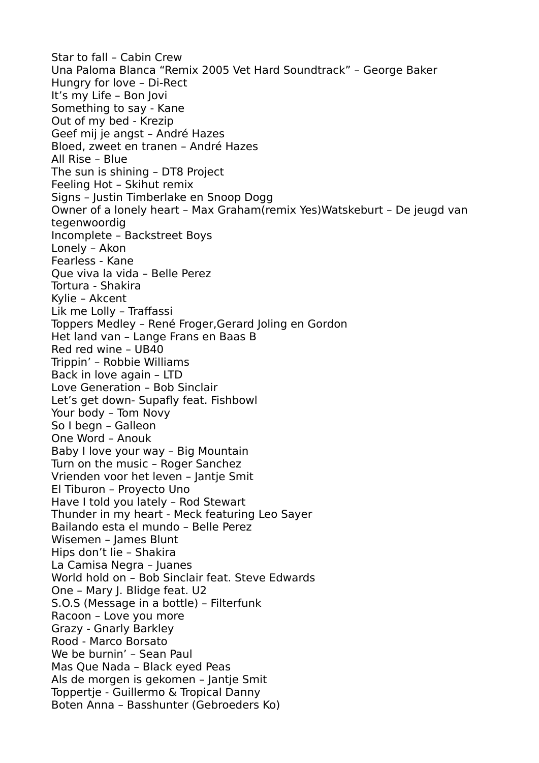Star to fall – Cabin Crew Una Paloma Blanca "Remix 2005 Vet Hard Soundtrack" – George Baker Hungry for love – Di-Rect It's my Life – Bon Jovi Something to say - Kane Out of my bed - Krezip Geef mij je angst – André Hazes Bloed, zweet en tranen – André Hazes All Rise – Blue The sun is shining – DT8 Project Feeling Hot – Skihut remix Signs – Justin Timberlake en Snoop Dogg Owner of a lonely heart – Max Graham(remix Yes)Watskeburt – De jeugd van tegenwoordig Incomplete – Backstreet Boys Lonely – Akon Fearless - Kane Que viva la vida – Belle Perez Tortura - Shakira Kylie – Akcent Lik me Lolly – Traffassi Toppers Medley – René Froger,Gerard Joling en Gordon Het land van – Lange Frans en Baas B Red red wine – UB40 Trippin' – Robbie Williams Back in love again – LTD Love Generation – Bob Sinclair Let's get down- Supafly feat. Fishbowl Your body – Tom Novy So I begn – Galleon One Word – Anouk Baby I love your way – Big Mountain Turn on the music – Roger Sanchez Vrienden voor het leven – Jantje Smit El Tiburon – Proyecto Uno Have I told you lately – Rod Stewart Thunder in my heart - Meck featuring Leo Sayer Bailando esta el mundo – Belle Perez Wisemen – James Blunt Hips don't lie – Shakira La Camisa Negra – Juanes World hold on – Bob Sinclair feat. Steve Edwards One – Mary J. Blidge feat. U2 S.O.S (Message in a bottle) – Filterfunk Racoon – Love you more Grazy - Gnarly Barkley Rood - Marco Borsato We be burnin' – Sean Paul Mas Que Nada – Black eyed Peas Als de morgen is gekomen – Jantje Smit Toppertje - Guillermo & Tropical Danny Boten Anna – Basshunter (Gebroeders Ko)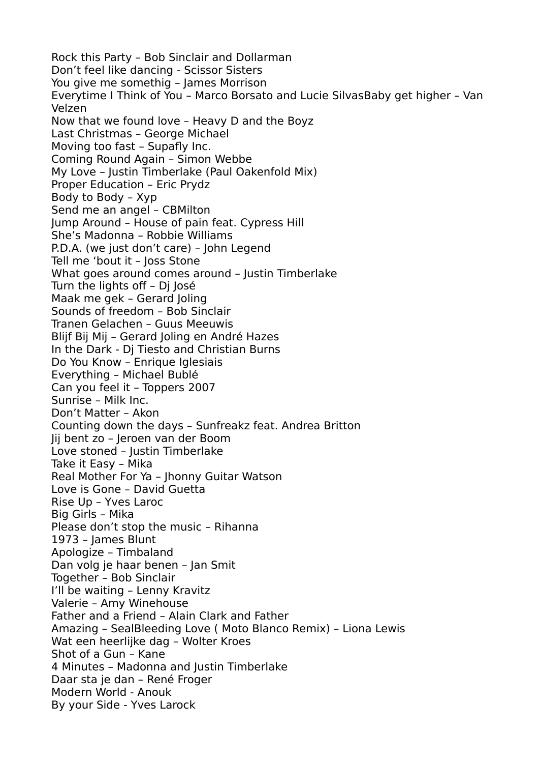Rock this Party – Bob Sinclair and Dollarman Don't feel like dancing - Scissor Sisters You give me somethig – James Morrison Everytime I Think of You – Marco Borsato and Lucie SilvasBaby get higher – Van Velzen Now that we found love – Heavy D and the Boyz Last Christmas – George Michael Moving too fast – Supafly Inc. Coming Round Again – Simon Webbe My Love – Justin Timberlake (Paul Oakenfold Mix) Proper Education – Eric Prydz Body to Body – Xyp Send me an angel – CBMilton Jump Around – House of pain feat. Cypress Hill She's Madonna – Robbie Williams P.D.A. (we just don't care) – John Legend Tell me 'bout it – Joss Stone What goes around comes around - Justin Timberlake Turn the lights off – Dj José Maak me gek – Gerard Joling Sounds of freedom – Bob Sinclair Tranen Gelachen – Guus Meeuwis Blijf Bij Mij – Gerard Joling en André Hazes In the Dark - Dj Tiesto and Christian Burns Do You Know - Enrique Iglesiais Everything – Michael Bublé Can you feel it – Toppers 2007 Sunrise – Milk Inc. Don't Matter – Akon Counting down the days – Sunfreakz feat. Andrea Britton Jij bent zo – Jeroen van der Boom Love stoned – Justin Timberlake Take it Easy – Mika Real Mother For Ya – Jhonny Guitar Watson Love is Gone – David Guetta Rise Up – Yves Laroc Big Girls – Mika Please don't stop the music – Rihanna 1973 – James Blunt Apologize – Timbaland Dan volg je haar benen – Jan Smit Together – Bob Sinclair I'll be waiting – Lenny Kravitz Valerie – Amy Winehouse Father and a Friend – Alain Clark and Father Amazing – SealBleeding Love ( Moto Blanco Remix) – Liona Lewis Wat een heerlijke dag – Wolter Kroes Shot of a Gun – Kane 4 Minutes – Madonna and Justin Timberlake Daar sta je dan – René Froger Modern World - Anouk By your Side - Yves Larock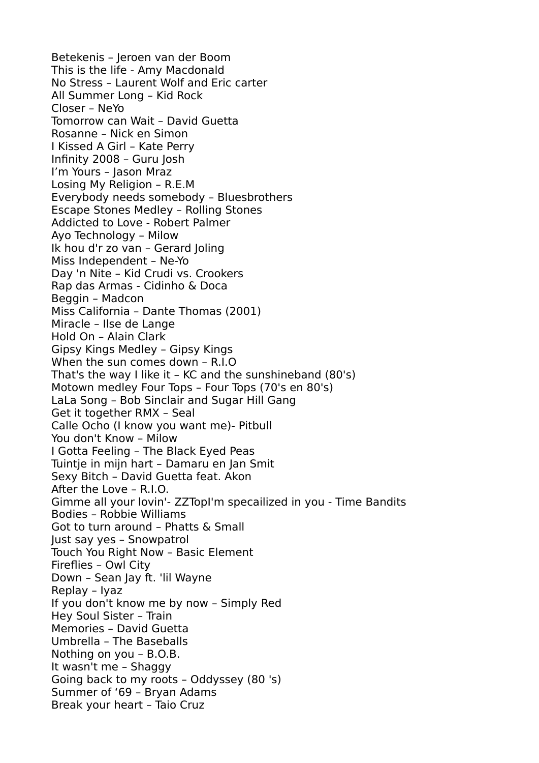Betekenis – Jeroen van der Boom This is the life - Amy Macdonald No Stress – Laurent Wolf and Eric carter All Summer Long – Kid Rock Closer – NeYo Tomorrow can Wait – David Guetta Rosanne – Nick en Simon I Kissed A Girl – Kate Perry Infinity 2008 – Guru Josh I'm Yours – Jason Mraz Losing My Religion – R.E.M Everybody needs somebody – Bluesbrothers Escape Stones Medley – Rolling Stones Addicted to Love - Robert Palmer Ayo Technology – Milow Ik hou d'r zo van – Gerard Joling Miss Independent – Ne-Yo Day 'n Nite – Kid Crudi vs. Crookers Rap das Armas - Cidinho & Doca Beggin – Madcon Miss California – Dante Thomas (2001) Miracle – Ilse de Lange Hold On – Alain Clark Gipsy Kings Medley – Gipsy Kings When the sun comes down – R.I.O That's the way I like it – KC and the sunshineband (80's) Motown medley Four Tops – Four Tops (70's en 80's) LaLa Song – Bob Sinclair and Sugar Hill Gang Get it together RMX – Seal Calle Ocho (I know you want me)- Pitbull You don't Know – Milow I Gotta Feeling – The Black Eyed Peas Tuintje in mijn hart – Damaru en Jan Smit Sexy Bitch – David Guetta feat. Akon After the Love – R.I.O. Gimme all your lovin'- ZZTopI'm specailized in you - Time Bandits Bodies – Robbie Williams Got to turn around – Phatts & Small Just say yes – Snowpatrol Touch You Right Now – Basic Element Fireflies – Owl City Down – Sean Jay ft. 'lil Wayne Replay – Iyaz If you don't know me by now – Simply Red Hey Soul Sister – Train Memories – David Guetta Umbrella – The Baseballs Nothing on you – B.O.B. It wasn't me – Shaggy Going back to my roots – Oddyssey (80 's) Summer of '69 – Bryan Adams Break your heart – Taio Cruz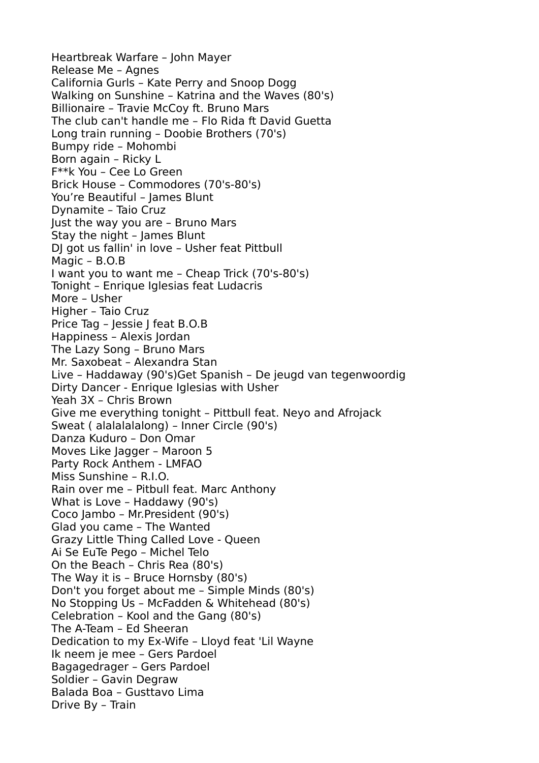Heartbreak Warfare – John Mayer Release Me – Agnes California Gurls – Kate Perry and Snoop Dogg Walking on Sunshine – Katrina and the Waves (80's) Billionaire – Travie McCoy ft. Bruno Mars The club can't handle me – Flo Rida ft David Guetta Long train running – Doobie Brothers (70's) Bumpy ride – Mohombi Born again – Ricky L F\*\*k You – Cee Lo Green Brick House – Commodores (70's-80's) You're Beautiful - James Blunt Dynamite – Taio Cruz Just the way you are – Bruno Mars Stay the night – James Blunt DJ got us fallin' in love – Usher feat Pittbull Magic – B.O.B I want you to want me – Cheap Trick (70's-80's) Tonight – Enrique Iglesias feat Ludacris More – Usher Higher – Taio Cruz Price Tag – Jessie J feat B.O.B Happiness – Alexis Jordan The Lazy Song – Bruno Mars Mr. Saxobeat – Alexandra Stan Live – Haddaway (90's)Get Spanish – De jeugd van tegenwoordig Dirty Dancer - Enrique Iglesias with Usher Yeah 3X – Chris Brown Give me everything tonight – Pittbull feat. Neyo and Afrojack Sweat ( alalalalalong) – Inner Circle (90's) Danza Kuduro – Don Omar Moves Like Jagger – Maroon 5 Party Rock Anthem - LMFAO Miss Sunshine – R.I.O. Rain over me – Pitbull feat. Marc Anthony What is Love – Haddawy (90's) Coco Jambo – Mr.President (90's) Glad you came – The Wanted Grazy Little Thing Called Love - Queen Ai Se EuTe Pego – Michel Telo On the Beach – Chris Rea (80's) The Way it is – Bruce Hornsby (80's) Don't you forget about me – Simple Minds (80's) No Stopping Us – McFadden & Whitehead (80's) Celebration – Kool and the Gang (80's) The A-Team – Ed Sheeran Dedication to my Ex-Wife – Lloyd feat 'Lil Wayne Ik neem je mee – Gers Pardoel Bagagedrager – Gers Pardoel Soldier – Gavin Degraw Balada Boa – Gusttavo Lima Drive By – Train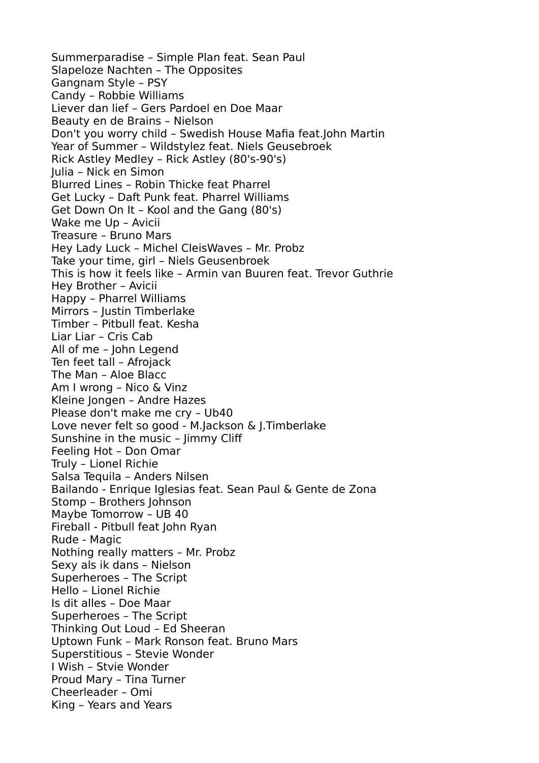Summerparadise – Simple Plan feat. Sean Paul Slapeloze Nachten – The Opposites Gangnam Style – PSY Candy – Robbie Williams Liever dan lief – Gers Pardoel en Doe Maar Beauty en de Brains – Nielson Don't you worry child – Swedish House Mafia feat.John Martin Year of Summer – Wildstylez feat. Niels Geusebroek Rick Astley Medley – Rick Astley (80's-90's) Julia – Nick en Simon Blurred Lines – Robin Thicke feat Pharrel Get Lucky – Daft Punk feat. Pharrel Williams Get Down On It – Kool and the Gang (80's) Wake me Up – Avicii Treasure – Bruno Mars Hey Lady Luck – Michel CleisWaves – Mr. Probz Take your time, girl – Niels Geusenbroek This is how it feels like – Armin van Buuren feat. Trevor Guthrie Hey Brother – Avicii Happy – Pharrel Williams Mirrors – Justin Timberlake Timber – Pitbull feat. Kesha Liar Liar – Cris Cab All of me – John Legend Ten feet tall – Afrojack The Man – Aloe Blacc Am I wrong – Nico & Vinz Kleine Jongen – Andre Hazes Please don't make me cry – Ub40 Love never felt so good - M.Jackson & J.Timberlake Sunshine in the music – Jimmy Cliff Feeling Hot – Don Omar Truly – Lionel Richie Salsa Tequila – Anders Nilsen Bailando - Enrique Iglesias feat. Sean Paul & Gente de Zona Stomp – Brothers Johnson Maybe Tomorrow – UB 40 Fireball - Pitbull feat John Ryan Rude - Magic Nothing really matters – Mr. Probz Sexy als ik dans – Nielson Superheroes – The Script Hello – Lionel Richie Is dit alles – Doe Maar Superheroes – The Script Thinking Out Loud – Ed Sheeran Uptown Funk – Mark Ronson feat. Bruno Mars Superstitious – Stevie Wonder I Wish – Stvie Wonder Proud Mary – Tina Turner Cheerleader – Omi King – Years and Years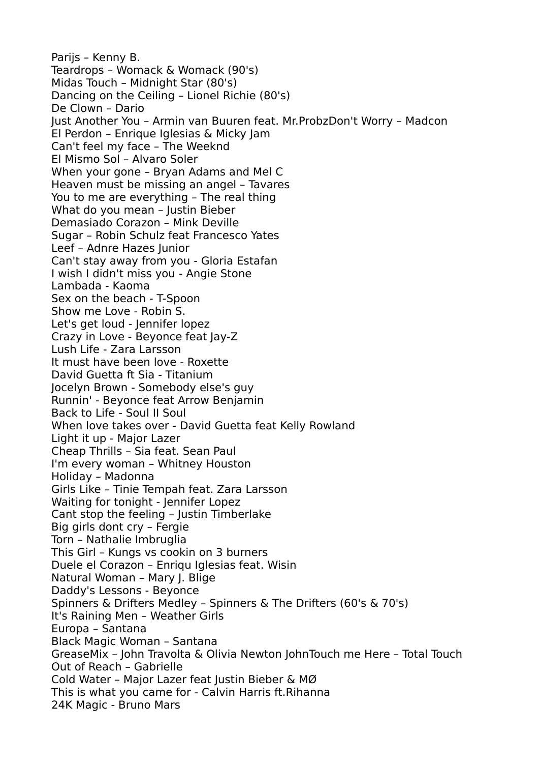Parijs – Kenny B. Teardrops – Womack & Womack (90's) Midas Touch – Midnight Star (80's) Dancing on the Ceiling – Lionel Richie (80's) De Clown – Dario Just Another You – Armin van Buuren feat. Mr.ProbzDon't Worry – Madcon El Perdon – Enrique Iglesias & Micky Jam Can't feel my face – The Weeknd El Mismo Sol – Alvaro Soler When your gone – Bryan Adams and Mel C Heaven must be missing an angel – Tavares You to me are everything – The real thing What do you mean – Justin Bieber Demasiado Corazon – Mink Deville Sugar – Robin Schulz feat Francesco Yates Leef – Adnre Hazes Junior Can't stay away from you - Gloria Estafan I wish I didn't miss you - Angie Stone Lambada - Kaoma Sex on the beach - T-Spoon Show me Love - Robin S. Let's get loud - Jennifer lopez Crazy in Love - Beyonce feat Jay-Z Lush Life - Zara Larsson It must have been love - Roxette David Guetta ft Sia - Titanium Jocelyn Brown - Somebody else's guy Runnin' - Beyonce feat Arrow Benjamin Back to Life - Soul II Soul When love takes over - David Guetta feat Kelly Rowland Light it up - Major Lazer Cheap Thrills – Sia feat. Sean Paul I'm every woman – Whitney Houston Holiday – Madonna Girls Like – Tinie Tempah feat. Zara Larsson Waiting for tonight - Jennifer Lopez Cant stop the feeling – Justin Timberlake Big girls dont cry – Fergie Torn – Nathalie Imbruglia This Girl – Kungs vs cookin on 3 burners Duele el Corazon – Enriqu Iglesias feat. Wisin Natural Woman – Mary J. Blige Daddy's Lessons - Beyonce Spinners & Drifters Medley – Spinners & The Drifters (60's & 70's) It's Raining Men – Weather Girls Europa – Santana Black Magic Woman – Santana GreaseMix – John Travolta & Olivia Newton JohnTouch me Here – Total Touch Out of Reach – Gabrielle Cold Water – Major Lazer feat Justin Bieber & MØ This is what you came for - Calvin Harris ft.Rihanna 24K Magic - Bruno Mars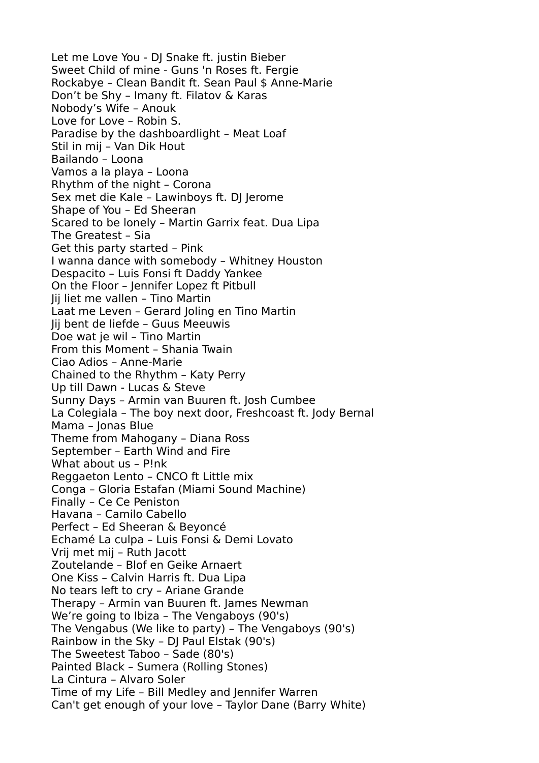Let me Love You - DJ Snake ft. justin Bieber Sweet Child of mine - Guns 'n Roses ft. Fergie Rockabye – Clean Bandit ft. Sean Paul \$ Anne-Marie Don't be Shy – Imany ft. Filatov & Karas Nobody's Wife – Anouk Love for Love – Robin S. Paradise by the dashboardlight – Meat Loaf Stil in mij – Van Dik Hout Bailando – Loona Vamos a la playa – Loona Rhythm of the night – Corona Sex met die Kale – Lawinboys ft. DJ Jerome Shape of You – Ed Sheeran Scared to be lonely – Martin Garrix feat. Dua Lipa The Greatest – Sia Get this party started – Pink I wanna dance with somebody – Whitney Houston Despacito – Luis Fonsi ft Daddy Yankee On the Floor – Jennifer Lopez ft Pitbull Jij liet me vallen – Tino Martin Laat me Leven – Gerard Joling en Tino Martin Jij bent de liefde – Guus Meeuwis Doe wat je wil – Tino Martin From this Moment – Shania Twain Ciao Adios – Anne-Marie Chained to the Rhythm – Katy Perry Up till Dawn - Lucas & Steve Sunny Days – Armin van Buuren ft. Josh Cumbee La Colegiala – The boy next door, Freshcoast ft. Jody Bernal Mama – Jonas Blue Theme from Mahogany – Diana Ross September – Earth Wind and Fire What about us – P!nk Reggaeton Lento – CNCO ft Little mix Conga – Gloria Estafan (Miami Sound Machine) Finally – Ce Ce Peniston Havana – Camilo Cabello Perfect – Ed Sheeran & Beyoncé Echamé La culpa – Luis Fonsi & Demi Lovato Vrij met mij – Ruth Jacott Zoutelande – Blof en Geike Arnaert One Kiss – Calvin Harris ft. Dua Lipa No tears left to cry – Ariane Grande Therapy – Armin van Buuren ft. James Newman We're going to Ibiza – The Vengaboys (90's) The Vengabus (We like to party) – The Vengaboys (90's) Rainbow in the Sky – DJ Paul Elstak (90's) The Sweetest Taboo – Sade (80's) Painted Black – Sumera (Rolling Stones) La Cintura – Alvaro Soler Time of my Life – Bill Medley and Jennifer Warren Can't get enough of your love – Taylor Dane (Barry White)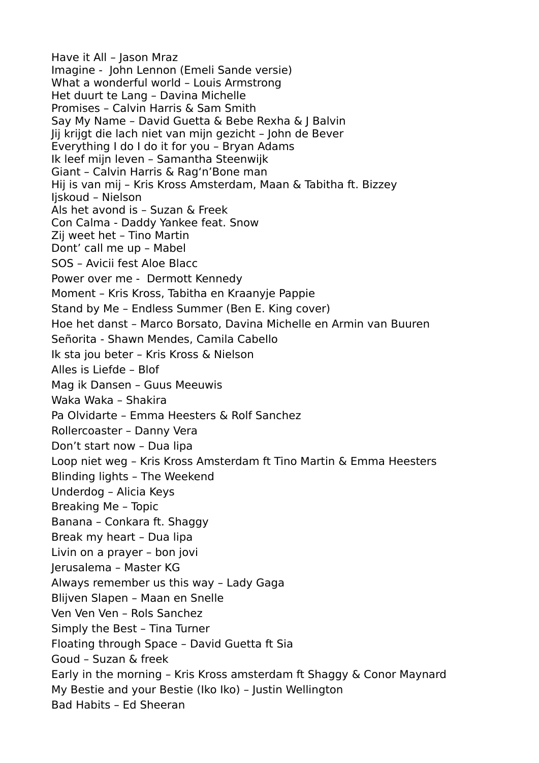Have it All – Jason Mraz Imagine - John Lennon (Emeli Sande versie) What a wonderful world – Louis Armstrong Het duurt te Lang – Davina Michelle Promises – Calvin Harris & Sam Smith Say My Name – David Guetta & Bebe Rexha & J Balvin Jij krijgt die lach niet van mijn gezicht – John de Bever Everything I do I do it for you – Bryan Adams Ik leef mijn leven – Samantha Steenwijk Giant – Calvin Harris & Rag'n'Bone man Hij is van mij – Kris Kross Amsterdam, Maan & Tabitha ft. Bizzey Ijskoud – Nielson Als het avond is – Suzan & Freek Con Calma - Daddy Yankee feat. Snow Zij weet het – Tino Martin Dont' call me up – Mabel SOS – Avicii fest Aloe Blacc Power over me - Dermott Kennedy Moment – Kris Kross, Tabitha en Kraanyje Pappie Stand by Me – Endless Summer (Ben E. King cover) Hoe het danst – Marco Borsato, Davina Michelle en Armin van Buuren Señorita - Shawn Mendes, Camila Cabello Ik sta jou beter – Kris Kross & Nielson Alles is Liefde – Blof Mag ik Dansen – Guus Meeuwis Waka Waka – Shakira Pa Olvidarte – Emma Heesters & Rolf Sanchez Rollercoaster – Danny Vera Don't start now – Dua lipa Loop niet weg – Kris Kross Amsterdam ft Tino Martin & Emma Heesters Blinding lights – The Weekend Underdog – Alicia Keys Breaking Me – Topic Banana – Conkara ft. Shaggy Break my heart – Dua lipa Livin on a prayer – bon jovi Jerusalema – Master KG Always remember us this way – Lady Gaga Blijven Slapen – Maan en Snelle Ven Ven Ven – Rols Sanchez Simply the Best – Tina Turner Floating through Space – David Guetta ft Sia Goud – Suzan & freek Early in the morning – Kris Kross amsterdam ft Shaggy & Conor Maynard My Bestie and your Bestie (Iko Iko) – Justin Wellington Bad Habits – Ed Sheeran